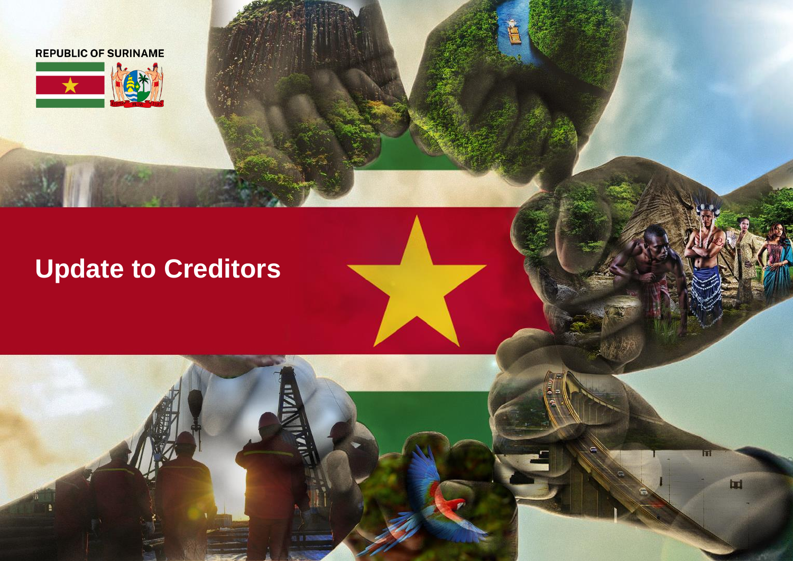



# **Update to Creditors**

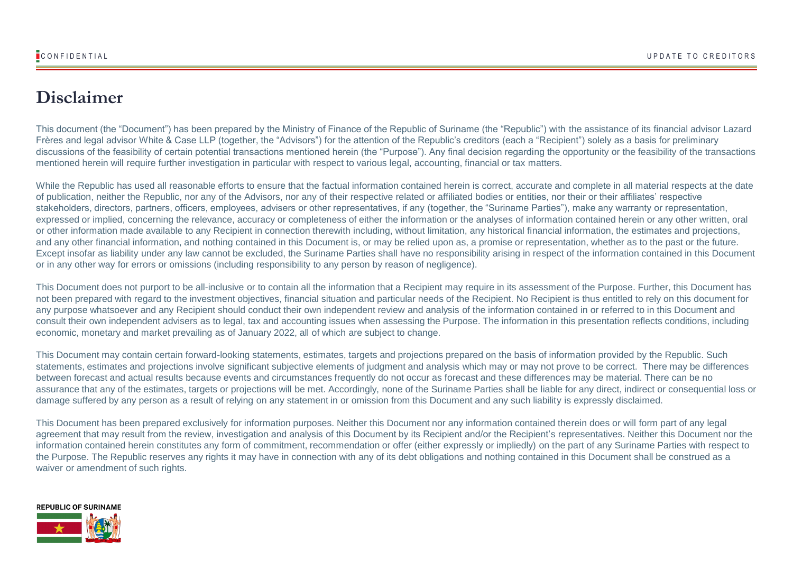## **Disclaimer**

This document (the "Document") has been prepared by the Ministry of Finance of the Republic of Suriname (the "Republic") with the assistance of its financial advisor Lazard Frères and legal advisor White & Case LLP (together, the "Advisors") for the attention of the Republic's creditors (each a "Recipient") solely as a basis for preliminary discussions of the feasibility of certain potential transactions mentioned herein (the "Purpose"). Any final decision regarding the opportunity or the feasibility of the transactions mentioned herein will require further investigation in particular with respect to various legal, accounting, financial or tax matters.

While the Republic has used all reasonable efforts to ensure that the factual information contained herein is correct, accurate and complete in all material respects at the date of publication, neither the Republic, nor any of the Advisors, nor any of their respective related or affiliated bodies or entities, nor their or their affiliates' respective stakeholders, directors, partners, officers, employees, advisers or other representatives, if any (together, the "Suriname Parties"), make any warranty or representation, expressed or implied, concerning the relevance, accuracy or completeness of either the information or the analyses of information contained herein or any other written, oral or other information made available to any Recipient in connection therewith including, without limitation, any historical financial information, the estimates and projections, and any other financial information, and nothing contained in this Document is, or may be relied upon as, a promise or representation, whether as to the past or the future. Except insofar as liability under any law cannot be excluded, the Suriname Parties shall have no responsibility arising in respect of the information contained in this Document or in any other way for errors or omissions (including responsibility to any person by reason of negligence).

This Document does not purport to be all-inclusive or to contain all the information that a Recipient may require in its assessment of the Purpose. Further, this Document has not been prepared with regard to the investment objectives, financial situation and particular needs of the Recipient. No Recipient is thus entitled to rely on this document for any purpose whatsoever and any Recipient should conduct their own independent review and analysis of the information contained in or referred to in this Document and consult their own independent advisers as to legal, tax and accounting issues when assessing the Purpose. The information in this presentation reflects conditions, including economic, monetary and market prevailing as of January 2022, all of which are subject to change.

This Document may contain certain forward-looking statements, estimates, targets and projections prepared on the basis of information provided by the Republic. Such statements, estimates and projections involve significant subjective elements of judgment and analysis which may or may not prove to be correct. There may be differences between forecast and actual results because events and circumstances frequently do not occur as forecast and these differences may be material. There can be no assurance that any of the estimates, targets or projections will be met. Accordingly, none of the Suriname Parties shall be liable for any direct, indirect or consequential loss or damage suffered by any person as a result of relying on any statement in or omission from this Document and any such liability is expressly disclaimed.

This Document has been prepared exclusively for information purposes. Neither this Document nor any information contained therein does or will form part of any legal agreement that may result from the review, investigation and analysis of this Document by its Recipient and/or the Recipient's representatives. Neither this Document nor the information contained herein constitutes any form of commitment, recommendation or offer (either expressly or impliedly) on the part of any Suriname Parties with respect to the Purpose. The Republic reserves any rights it may have in connection with any of its debt obligations and nothing contained in this Document shall be construed as a waiver or amendment of such rights.

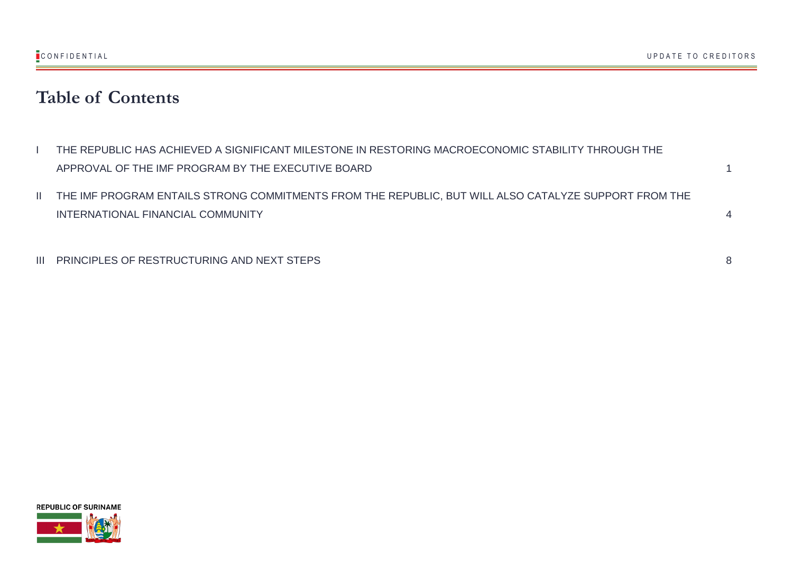## **Table of Contents**

| THE REPUBLIC HAS ACHIEVED A SIGNIFICANT MILESTONE IN RESTORING MACROECONOMIC STABILITY THROUGH THE |  |
|----------------------------------------------------------------------------------------------------|--|
| APPROVAL OF THE IMF PROGRAM BY THE EXECUTIVE BOARD                                                 |  |

II THE IMF PROGRAM ENTAILS STRONG COMMITMENTS FROM THE REPUBLIC, BUT WILL ALSO CATALYZE SUPPORT FROM THE INTERNATIONAL FINANCIAL COMMUNITY 4

III PRINCIPLES OF RESTRUCTURING AND NEXT STEPS 8

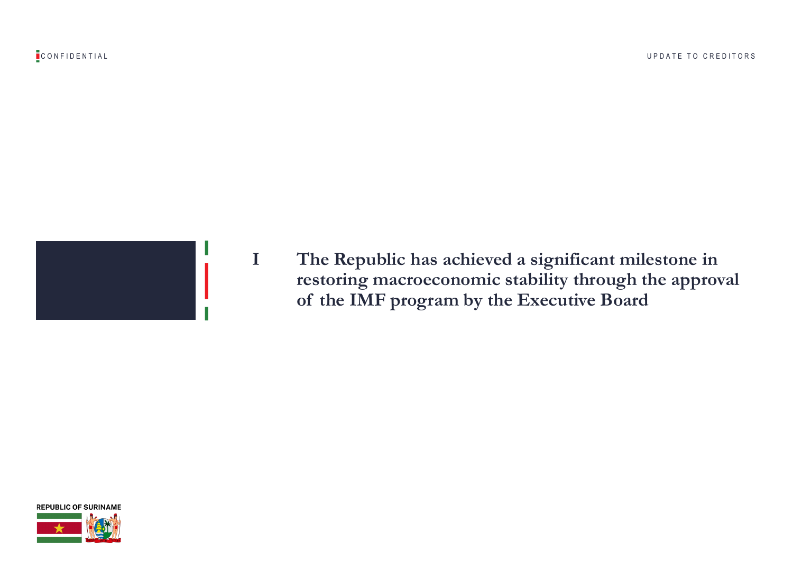



**I The Republic has achieved a significant milestone in restoring macroeconomic stability through the approval of the IMF program by the Executive Board**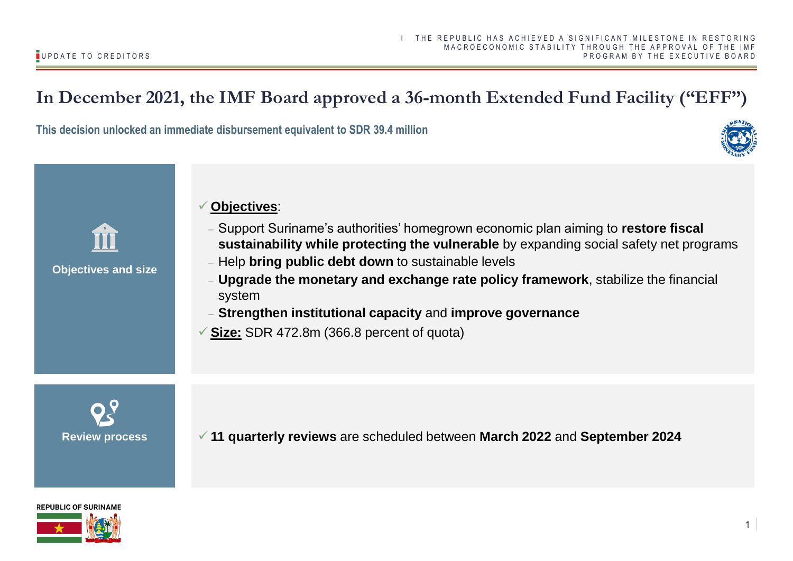## **In December 2021, the IMF Board approved a 36-month Extended Fund Facility ("EFF")**

**This decision unlocked an immediate disbursement equivalent to SDR 39.4 million**





### **Objectives and size**

### ✓ **Objectives**:

- − Support Suriname's authorities' homegrown economic plan aiming to **restore fiscal sustainability while protecting the vulnerable** by expanding social safety net programs
- − Help **bring public debt down** to sustainable levels
- **Upgrade the monetary and exchange rate policy framework**, stabilize the financial system
- − **Strengthen institutional capacity** and **improve governance**
- ✓ **Size:** SDR 472.8m (366.8 percent of quota)

**Review process** ✓ **11 quarterly reviews** are scheduled between **March 2022** and **September 2024**

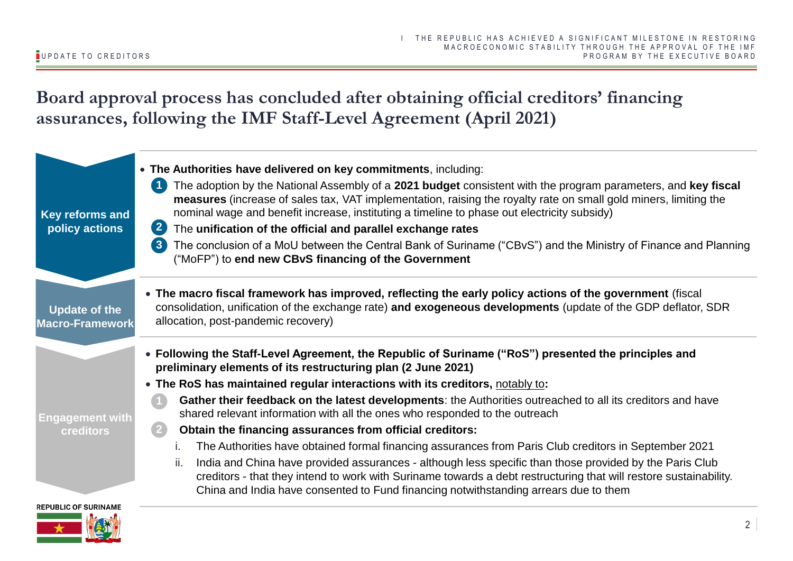**Board approval process has concluded after obtaining official creditors' financing assurances, following the IMF Staff-Level Agreement (April 2021)**

| Key reforms and<br>policy actions              | • The Authorities have delivered on key commitments, including:<br>The adoption by the National Assembly of a 2021 budget consistent with the program parameters, and key fiscal<br>measures (increase of sales tax, VAT implementation, raising the royalty rate on small gold miners, limiting the<br>nominal wage and benefit increase, instituting a timeline to phase out electricity subsidy)<br>$\left( 2\right)$<br>The unification of the official and parallel exchange rates<br>The conclusion of a MoU between the Central Bank of Suriname ("CBvS") and the Ministry of Finance and Planning<br>$\left( 3 \right)$<br>("MoFP") to end new CBvS financing of the Government                                                                                                                                                                                                                                                                |
|------------------------------------------------|--------------------------------------------------------------------------------------------------------------------------------------------------------------------------------------------------------------------------------------------------------------------------------------------------------------------------------------------------------------------------------------------------------------------------------------------------------------------------------------------------------------------------------------------------------------------------------------------------------------------------------------------------------------------------------------------------------------------------------------------------------------------------------------------------------------------------------------------------------------------------------------------------------------------------------------------------------|
| <b>Update of the</b><br><b>Macro-Framework</b> | • The macro fiscal framework has improved, reflecting the early policy actions of the government (fiscal<br>consolidation, unification of the exchange rate) and exogeneous developments (update of the GDP deflator, SDR<br>allocation, post-pandemic recovery)                                                                                                                                                                                                                                                                                                                                                                                                                                                                                                                                                                                                                                                                                       |
| Engagement with<br><b>creditors</b>            | • Following the Staff-Level Agreement, the Republic of Suriname ("RoS") presented the principles and<br>preliminary elements of its restructuring plan (2 June 2021)<br>• The RoS has maintained regular interactions with its creditors, notably to:<br>Gather their feedback on the latest developments: the Authorities outreached to all its creditors and have<br>shared relevant information with all the ones who responded to the outreach<br>Obtain the financing assurances from official creditors:<br>The Authorities have obtained formal financing assurances from Paris Club creditors in September 2021<br>India and China have provided assurances - although less specific than those provided by the Paris Club<br>ii.<br>creditors - that they intend to work with Suriname towards a debt restructuring that will restore sustainability.<br>China and India have consented to Fund financing notwithstanding arrears due to them |
| <b>REPUBLIC OF SURINAME</b>                    | 2                                                                                                                                                                                                                                                                                                                                                                                                                                                                                                                                                                                                                                                                                                                                                                                                                                                                                                                                                      |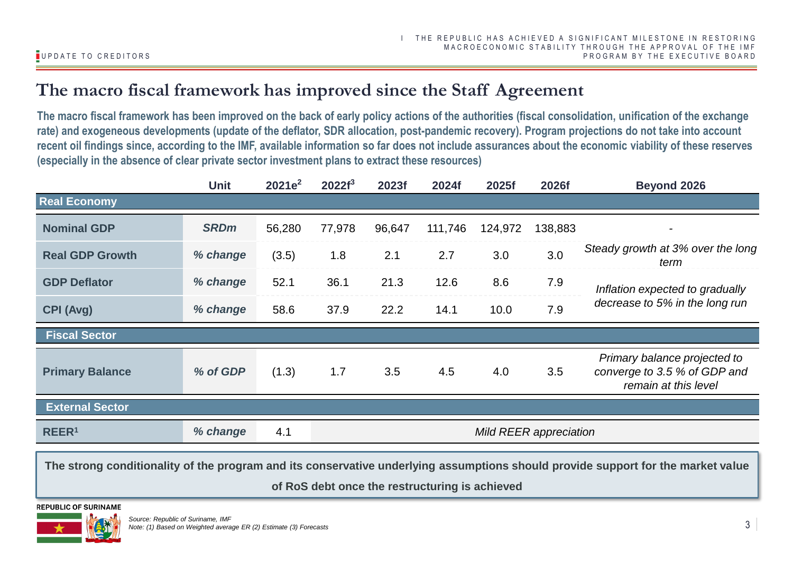## **The macro fiscal framework has improved since the Staff Agreement**

**The macro fiscal framework has been improved on the back of early policy actions of the authorities (fiscal consolidation, unification of the exchange rate) and exogeneous developments (update of the deflator, SDR allocation, post-pandemic recovery). Program projections do not take into account recent oil findings since, according to the IMF, available information so far does not include assurances about the economic viability of these reserves (especially in the absence of clear private sector investment plans to extract these resources)**

|                                                                       | <b>Unit</b> | $2021e^2$ | 2022f <sup>3</sup> | 2023f  | 2024f   | 2025f   | 2026f   | <b>Beyond 2026</b>                                                                   |
|-----------------------------------------------------------------------|-------------|-----------|--------------------|--------|---------|---------|---------|--------------------------------------------------------------------------------------|
| <b>Real Economy</b>                                                   |             |           |                    |        |         |         |         |                                                                                      |
| <b>Nominal GDP</b>                                                    | <b>SRDm</b> | 56,280    | 77,978             | 96,647 | 111,746 | 124,972 | 138,883 |                                                                                      |
| <b>Real GDP Growth</b>                                                | % change    | (3.5)     | 1.8                | 2.1    | 2.7     | 3.0     | 3.0     | Steady growth at 3% over the long<br>term                                            |
| <b>GDP Deflator</b>                                                   | % change    | 52.1      | 36.1               | 21.3   | 12.6    | 8.6     | 7.9     | Inflation expected to gradually<br>decrease to 5% in the long run                    |
| <b>CPI (Avg)</b>                                                      | % change    | 58.6      | 37.9               | 22.2   | 14.1    | 10.0    | 7.9     |                                                                                      |
| <b>Fiscal Sector</b>                                                  |             |           |                    |        |         |         |         |                                                                                      |
| <b>Primary Balance</b>                                                | % of GDP    | (1.3)     | 1.7                | 3.5    | 4.5     | 4.0     | 3.5     | Primary balance projected to<br>converge to 3.5 % of GDP and<br>remain at this level |
| <b>External Sector</b>                                                |             |           |                    |        |         |         |         |                                                                                      |
| % change<br>REER <sup>1</sup><br>4.1<br><b>Mild REER appreciation</b> |             |           |                    |        |         |         |         |                                                                                      |

**The strong conditionality of the program and its conservative underlying assumptions should provide support for the market value of RoS debt once the restructuring is achieved**

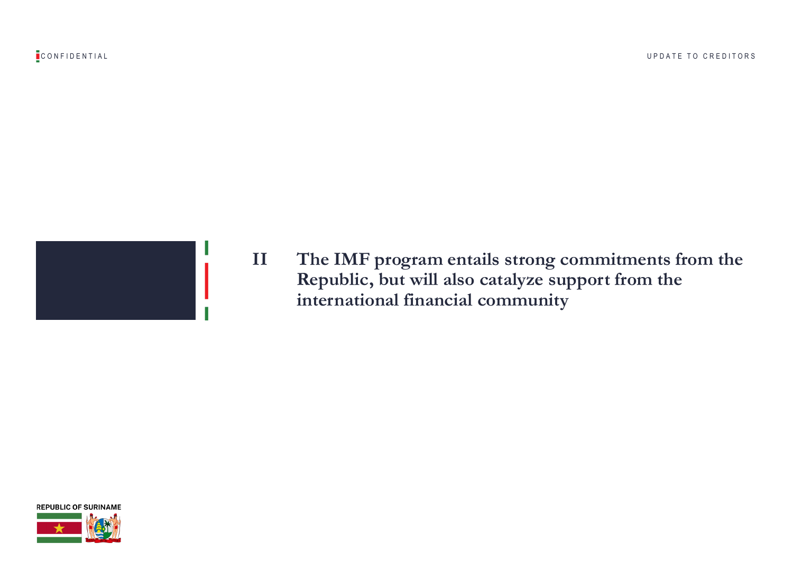



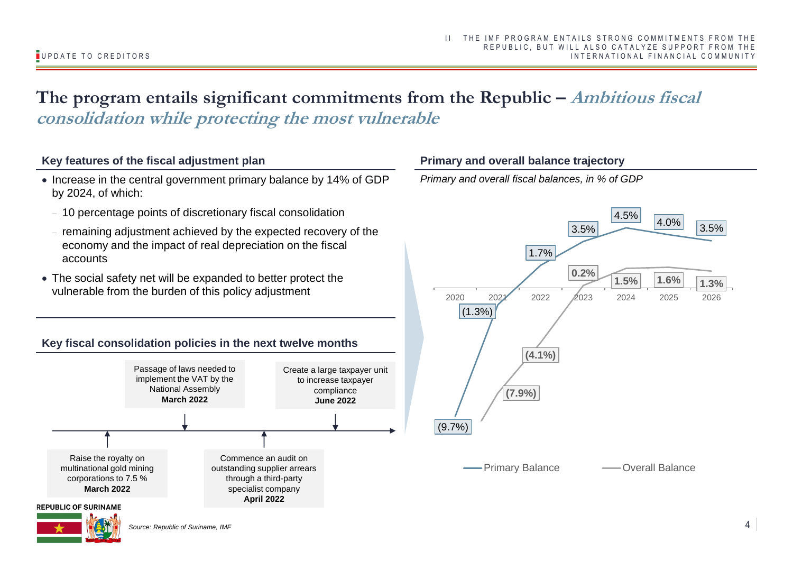## The program entails significant commitments from the Republic – *Ambitious fiscal* **consolidation while protecting the most vulnerable**

### **Key features of the fiscal adjustment plan**

- Increase in the central government primary balance by 14% of GDP by 2024, of which:
	- − 10 percentage points of discretionary fiscal consolidation
	- − remaining adjustment achieved by the expected recovery of the economy and the impact of real depreciation on the fiscal accounts
- The social safety net will be expanded to better protect the vulnerable from the burden of this policy adjustment

### **Key fiscal consolidation policies in the next twelve months**



### **Primary and overall balance trajectory**

*Primary and overall fiscal balances, in % of GDP*



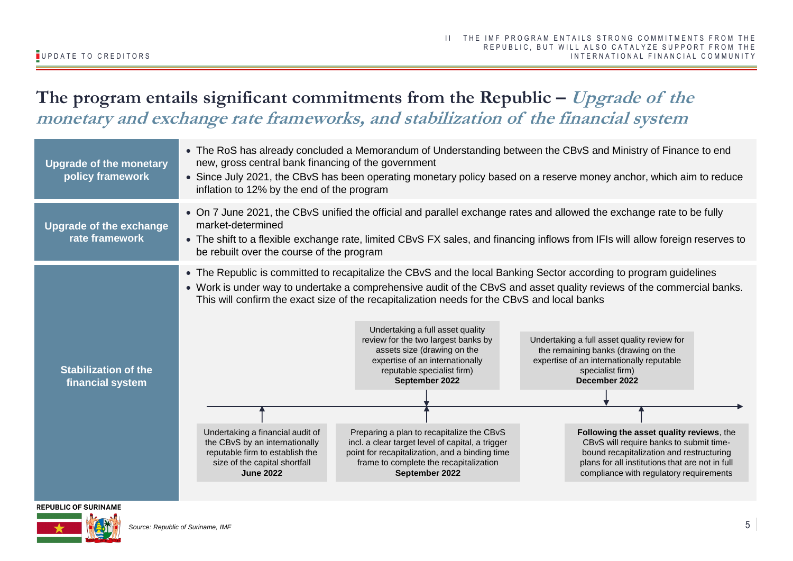## The program entails significant commitments from the Republic – Upgrade of the **monetary and exchange rate frameworks, and stabilization of the financial system**

| <b>Upgrade of the monetary</b><br>policy framework | • The RoS has already concluded a Memorandum of Understanding between the CBvS and Ministry of Finance to end<br>new, gross central bank financing of the government<br>• Since July 2021, the CBvS has been operating monetary policy based on a reserve money anchor, which aim to reduce<br>inflation to 12% by the end of the program |                                                                                                                                                                                                                                                                                                                                                                                                                                                                                                         |                                                                                                                                                                                                                                                                                                                                                                                                                                                                                                                                                                                                                                                     |  |  |  |  |  |
|----------------------------------------------------|-------------------------------------------------------------------------------------------------------------------------------------------------------------------------------------------------------------------------------------------------------------------------------------------------------------------------------------------|---------------------------------------------------------------------------------------------------------------------------------------------------------------------------------------------------------------------------------------------------------------------------------------------------------------------------------------------------------------------------------------------------------------------------------------------------------------------------------------------------------|-----------------------------------------------------------------------------------------------------------------------------------------------------------------------------------------------------------------------------------------------------------------------------------------------------------------------------------------------------------------------------------------------------------------------------------------------------------------------------------------------------------------------------------------------------------------------------------------------------------------------------------------------------|--|--|--|--|--|
| <b>Upgrade of the exchange</b><br>rate framework   | • On 7 June 2021, the CBvS unified the official and parallel exchange rates and allowed the exchange rate to be fully<br>market-determined<br>• The shift to a flexible exchange rate, limited CBvS FX sales, and financing inflows from IFIs will allow foreign reserves to<br>be rebuilt over the course of the program                 |                                                                                                                                                                                                                                                                                                                                                                                                                                                                                                         |                                                                                                                                                                                                                                                                                                                                                                                                                                                                                                                                                                                                                                                     |  |  |  |  |  |
| <b>Stabilization of the</b><br>financial system    | Undertaking a financial audit of<br>the CBvS by an internationally<br>reputable firm to establish the<br>size of the capital shortfall<br><b>June 2022</b>                                                                                                                                                                                | This will confirm the exact size of the recapitalization needs for the CBvS and local banks<br>Undertaking a full asset quality<br>review for the two largest banks by<br>assets size (drawing on the<br>expertise of an internationally<br>reputable specialist firm)<br>September 2022<br>Preparing a plan to recapitalize the CBvS<br>incl. a clear target level of capital, a trigger<br>point for recapitalization, and a binding time<br>frame to complete the recapitalization<br>September 2022 | • The Republic is committed to recapitalize the CBvS and the local Banking Sector according to program guidelines<br>• Work is under way to undertake a comprehensive audit of the CBvS and asset quality reviews of the commercial banks.<br>Undertaking a full asset quality review for<br>the remaining banks (drawing on the<br>expertise of an internationally reputable<br>specialist firm)<br>December 2022<br>Following the asset quality reviews, the<br>CBvS will require banks to submit time-<br>bound recapitalization and restructuring<br>plans for all institutions that are not in full<br>compliance with regulatory requirements |  |  |  |  |  |

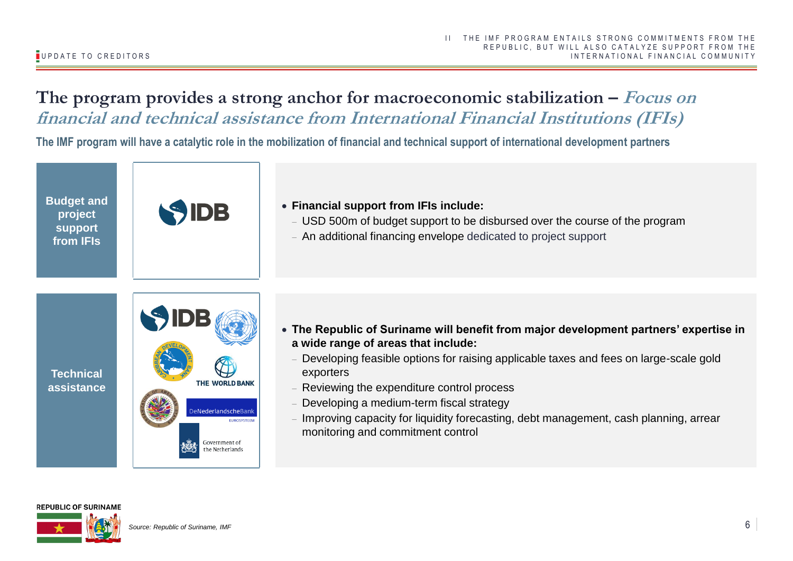### **The program provides a strong anchor for macroeconomic stabilization – Focus on financial and technical assistance from International Financial Institutions (IFIs)**

**The IMF program will have a catalytic role in the mobilization of financial and technical support of international development partners**

**Budget and project support from IFIs**



- **Financial support from IFIs include:** 
	- − USD 500m of budget support to be disbursed over the course of the program
	- − An additional financing envelope dedicated to project support



- **The Republic of Suriname will benefit from major development partners' expertise in a wide range of areas that include:** 
	- Developing feasible options for raising applicable taxes and fees on large-scale gold exporters
	- − Reviewing the expenditure control process
	- Developing a medium-term fiscal strategy
	- Improving capacity for liquidity forecasting, debt management, cash planning, arrear monitoring and commitment control

### **REPUBLIC OF SURINAME**

**Technical assistance**

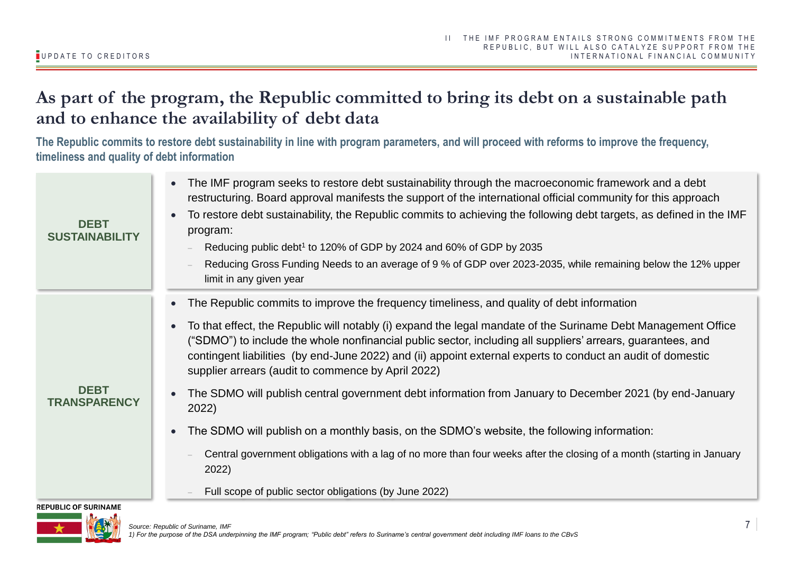## **As part of the program, the Republic committed to bring its debt on a sustainable path and to enhance the availability of debt data**

**The Republic commits to restore debt sustainability in line with program parameters, and will proceed with reforms to improve the frequency, timeliness and quality of debt information**

| <b>DEBT</b><br><b>SUSTAINABILITY</b> | The IMF program seeks to restore debt sustainability through the macroeconomic framework and a debt<br>$\bullet$<br>restructuring. Board approval manifests the support of the international official community for this approach<br>To restore debt sustainability, the Republic commits to achieving the following debt targets, as defined in the IMF<br>$\bullet$<br>program:<br>Reducing public debt <sup>1</sup> to 120% of GDP by 2024 and 60% of GDP by 2035<br>Reducing Gross Funding Needs to an average of 9 % of GDP over 2023-2035, while remaining below the 12% upper<br>limit in any given year |
|--------------------------------------|-----------------------------------------------------------------------------------------------------------------------------------------------------------------------------------------------------------------------------------------------------------------------------------------------------------------------------------------------------------------------------------------------------------------------------------------------------------------------------------------------------------------------------------------------------------------------------------------------------------------|
| <b>DEBT</b>                          | The Republic commits to improve the frequency timeliness, and quality of debt information<br>To that effect, the Republic will notably (i) expand the legal mandate of the Suriname Debt Management Office<br>$\bullet$<br>("SDMO") to include the whole nonfinancial public sector, including all suppliers' arrears, guarantees, and<br>contingent liabilities (by end-June 2022) and (ii) appoint external experts to conduct an audit of domestic<br>supplier arrears (audit to commence by April 2022)                                                                                                     |
| <b>TRANSPARENCY</b>                  | The SDMO will publish central government debt information from January to December 2021 (by end-January<br>$\bullet$<br>2022)<br>The SDMO will publish on a monthly basis, on the SDMO's website, the following information:<br>$\bullet$<br>Central government obligations with a lag of no more than four weeks after the closing of a month (starting in January<br>2022)<br>Full scope of public sector obligations (by June 2022)                                                                                                                                                                          |

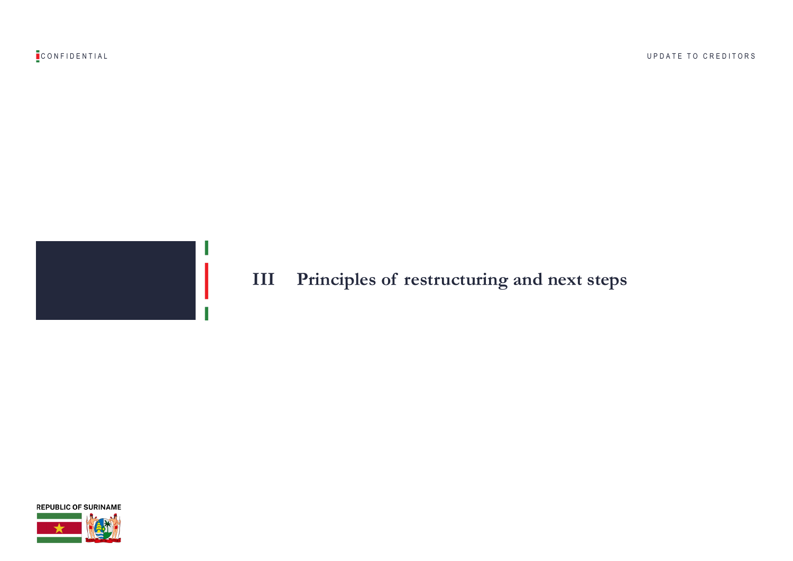

## **III Principles of restructuring and next steps**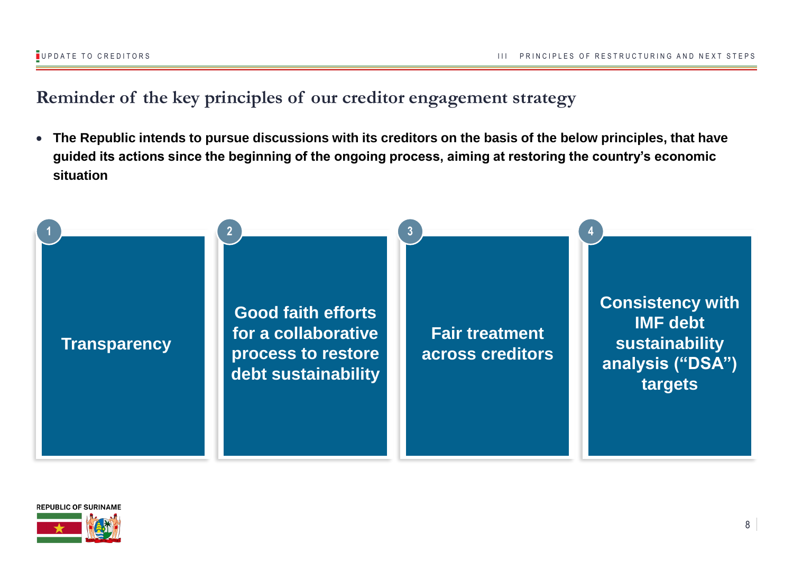## **Reminder of the key principles of our creditor engagement strategy**

• **The Republic intends to pursue discussions with its creditors on the basis of the below principles, that have guided its actions since the beginning of the ongoing process, aiming at restoring the country's economic situation**



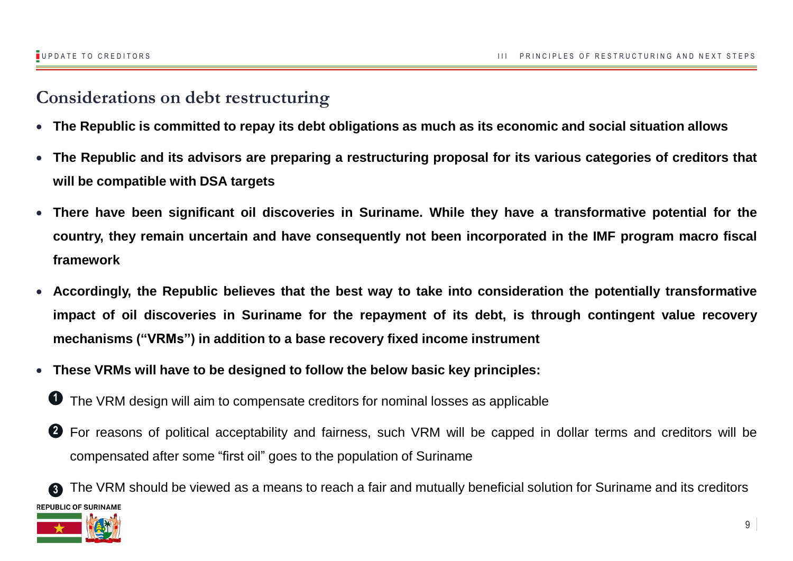## **Considerations on debt restructuring**

- The Republic is committed to repay its debt obligations as much as its economic and social situation allows
- The Republic and its advisors are preparing a restructuring proposal for its various categories of creditors that **will be compatible with DSA targets**
- **There have been significant oil discoveries in Suriname. While they have a transformative potential for the country, they remain uncertain and have consequently not been incorporated in the IMF program macro fiscal framework**
- **Accordingly, the Republic believes that the best way to take into consideration the potentially transformative impact of oil discoveries in Suriname for the repayment of its debt, is through contingent value recovery mechanisms ("VRMs") in addition to a base recovery fixed income instrument**
- **These VRMs will have to be designed to follow the below basic key principles:**
	- The VRM design will aim to compensate creditors for nominal losses as applicable **1**
	- 2 For reasons of political acceptability and fairness, such VRM will be capped in dollar terms and creditors will be compensated after some "first oil" goes to the population of Suriname

The VRM should be viewed as a means to reach a fair and mutually beneficial solution for Suriname and its creditors **3 REPUBLIC OF SURINAME** 

9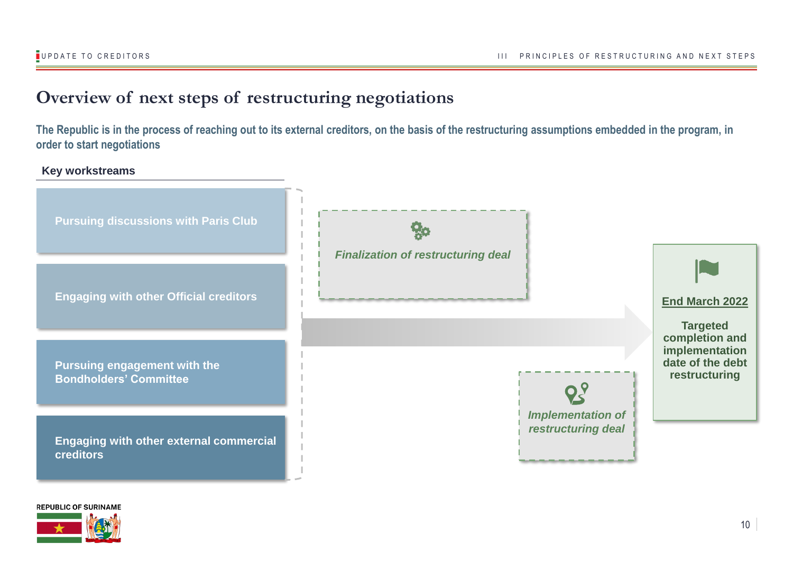## **Overview of next steps of restructuring negotiations**

**The Republic is in the process of reaching out to its external creditors, on the basis of the restructuring assumptions embedded in the program, in order to start negotiations**

### **Key workstreams**